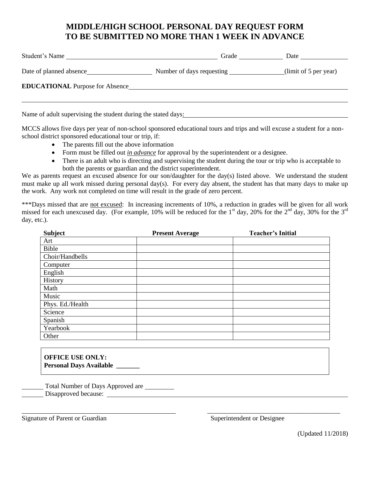## **MIDDLE/HIGH SCHOOL PERSONAL DAY REQUEST FORM TO BE SUBMITTED NO MORE THAN 1 WEEK IN ADVANCE**

| Student's Name                         | Grade                     | Date                  |
|----------------------------------------|---------------------------|-----------------------|
| Date of planned absence                | Number of days requesting | (limit of 5 per year) |
| <b>EDUCATIONAL Purpose for Absence</b> |                           |                       |
|                                        |                           |                       |

Name of adult supervising the student during the stated days:

MCCS allows five days per year of non-school sponsored educational tours and trips and will excuse a student for a nonschool district sponsored educational tour or trip, if:

- The parents fill out the above information
- Form must be filled out *in advance* for approval by the superintendent or a designee.
- There is an adult who is directing and supervising the student during the tour or trip who is acceptable to both the parents or guardian and the district superintendent.

We as parents request an excused absence for our son/daughter for the day(s) listed above. We understand the student must make up all work missed during personal day(s). For every day absent, the student has that many days to make up the work. Any work not completed on time will result in the grade of zero percent.

\*\*\*Days missed that are not excused: In increasing increments of 10%, a reduction in grades will be given for all work missed for each unexcused day. (For example, 10% will be reduced for the 1<sup>st</sup> day, 20% for the 2<sup>nd</sup> day, 30% for the 3<sup>rd</sup> day, etc.).

| <b>Subject</b>   | <b>Present Average</b> | <b>Teacher's Initial</b> |
|------------------|------------------------|--------------------------|
| Art              |                        |                          |
| Bible            |                        |                          |
| Choir/Handbells  |                        |                          |
| Computer         |                        |                          |
| English          |                        |                          |
| History          |                        |                          |
| Math             |                        |                          |
| Music            |                        |                          |
| Phys. Ed./Health |                        |                          |
| Science          |                        |                          |
| Spanish          |                        |                          |
| Yearbook         |                        |                          |
| Other            |                        |                          |

**OFFICE USE ONLY: Personal Days Available \_\_\_\_\_\_\_**

Total Number of Days Approved are Disapproved because:

Signature of Parent or Guardian Superintendent or Designee

\_\_\_\_\_\_\_\_\_\_\_\_\_\_\_\_\_\_\_\_\_\_\_\_\_\_\_\_\_\_\_\_\_\_\_\_\_\_\_\_